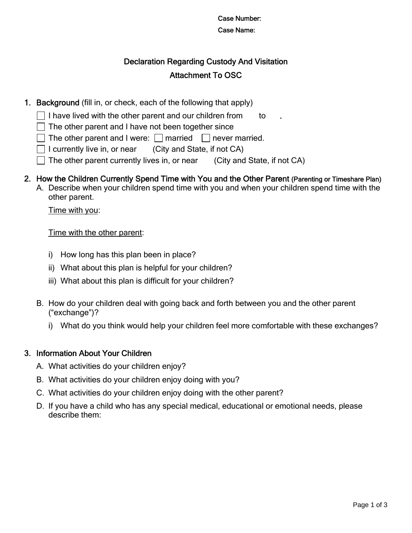### Case Number: Case Name:

# Declaration Regarding Custody And Visitation Attachment To OSC

- 1. Background (fill in, or check, each of the following that apply)
	- I have lived with the other parent and our children from  $\qquad$  to
	- $\Box$  The other parent and I have not been together since
	- $\Box$  The other parent and I were:  $\Box$  married  $\Box$  never married.
	- $\Box$  I currently live in, or near (City and State, if not CA)
		- The other parent currently lives in, or near (City and State, if not CA)
- 2. How the Children Currently Spend Time with You and the Other Parent (Parenting or Timeshare Plan)
	- A. Describe when your children spend time with you and when your children spend time with the other parent.

Time with you:

Time with the other parent:

- i) How long has this plan been in place?
- ii) What about this plan is helpful for your children?
- iii) What about this plan is difficult for your children?
- B. How do your children deal with going back and forth between you and the other parent ("exchange")?
	- i) What do you think would help your children feel more comfortable with these exchanges?

# 3. Information About Your Children

- A. What activities do your children enjoy?
- B. What activities do your children enjoy doing with you?
- C. What activities do your children enjoy doing with the other parent?
- D. If you have a child who has any special medical, educational or emotional needs, please describe them: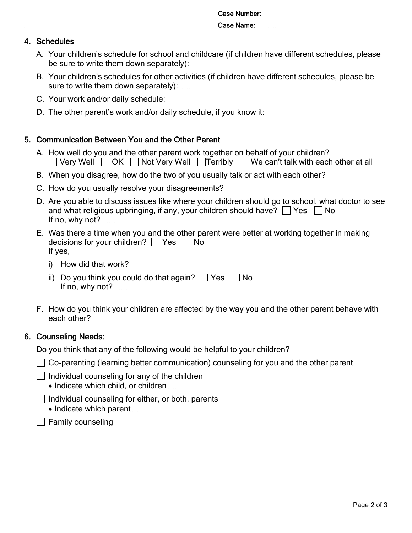#### Case Number: Case Name:

### 4. Schedules

- A. Your children's schedule for school and childcare (if children have different schedules, please be sure to write them down separately):
- B. Your children's schedules for other activities (if children have different schedules, please be sure to write them down separately):
- C. Your work and/or daily schedule:
- D. The other parent's work and/or daily schedule, if you know it:

# 5. Communication Between You and the Other Parent

- A. How well do you and the other parent work together on behalf of your children?  $\Box$  Very Well  $\Box$  OK  $\Box$  Not Very Well  $\Box$  Terribly  $\Box$  We can't talk with each other at all
- B. When you disagree, how do the two of you usually talk or act with each other?
- C. How do you usually resolve your disagreements?
- D. Are you able to discuss issues like where your children should go to school, what doctor to see and what religious upbringing, if any, your children should have?  $\Box$  Yes  $\Box$  No If no, why not?
- E. Was there a time when you and the other parent were better at working together in making decisions for your children?  $\Box$  Yes  $\Box$  No If yes,
	- i) How did that work?
	- ii) Do you think you could do that again?  $\Box$  Yes  $\Box$  No If no, why not?
- F. How do you think your children are affected by the way you and the other parent behave with each other?

# 6. Counseling Needs:

Do you think that any of the following would be helpful to your children?

◯ Co-parenting (learning better communication) counseling for you and the other parent

- $\Box$  Individual counseling for any of the children
	- Indicate which child, or children
- $\Box$  Individual counseling for either, or both, parents
	- Indicate which parent
- $\Box$  Family counseling